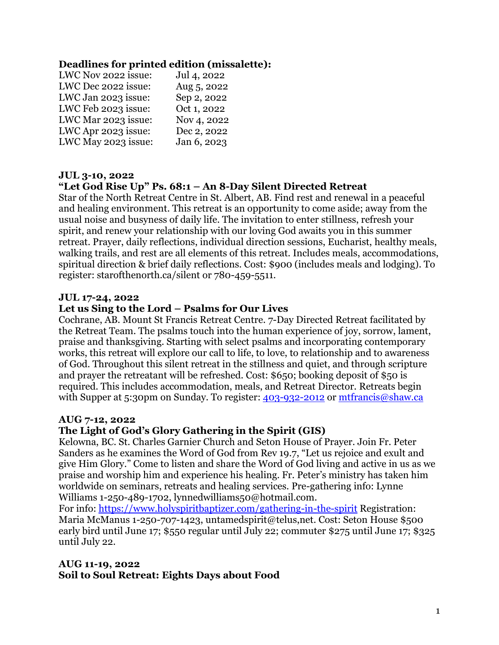#### **Deadlines for printed edition (missalette):**

| LWC Nov 2022 issue: | Jul 4, 2022 |
|---------------------|-------------|
| LWC Dec 2022 issue: | Aug 5, 2022 |
| LWC Jan 2023 issue: | Sep 2, 2022 |
| LWC Feb 2023 issue: | Oct 1, 2022 |
| LWC Mar 2023 issue: | Nov 4, 2022 |
| LWC Apr 2023 issue: | Dec 2, 2022 |
| LWC May 2023 issue: | Jan 6, 2023 |

#### **JUL 3-10, 2022**

#### **"Let God Rise Up" Ps. 68:1 – An 8-Day Silent Directed Retreat**

Star of the North Retreat Centre in St. Albert, AB. Find rest and renewal in a peaceful and healing environment. This retreat is an opportunity to come aside; away from the usual noise and busyness of daily life. The invitation to enter stillness, refresh your spirit, and renew your relationship with our loving God awaits you in this summer retreat. Prayer, daily reflections, individual direction sessions, Eucharist, healthy meals, walking trails, and rest are all elements of this retreat. Includes meals, accommodations, spiritual direction & brief daily reflections. Cost: \$900 (includes meals and lodging). To register: starofthenorth.ca/silent or 780-459-5511.

#### **JUL 17-24, 2022**

#### **Let us Sing to the Lord – Psalms for Our Lives**

Cochrane, AB. Mount St Francis Retreat Centre. 7-Day Directed Retreat facilitated by the Retreat Team. The psalms touch into the human experience of joy, sorrow, lament, praise and thanksgiving. Starting with select psalms and incorporating contemporary works, this retreat will explore our call to life, to love, to relationship and to awareness of God. Throughout this silent retreat in the stillness and quiet, and through scripture and prayer the retreatant will be refreshed. Cost: \$650; booking deposit of \$50 is required. This includes accommodation, meals, and Retreat Director. Retreats begin with Supper at 5:30pm on Sunday. To register:  $403-932-2012$  or [mtfrancis@shaw.ca](mailto:mtfrancis@shaw.ca)

#### **AUG 7-12, 2022**

#### **The Light of God's Glory Gathering in the Spirit (GIS)**

Kelowna, BC. St. Charles Garnier Church and Seton House of Prayer. Join Fr. Peter Sanders as he examines the Word of God from Rev 19.7, "Let us rejoice and exult and give Him Glory." Come to listen and share the Word of God living and active in us as we praise and worship him and experience his healing. Fr. Peter's ministry has taken him worldwide on seminars, retreats and healing services. Pre-gathering info: Lynne Williams 1-250-489-1702, lynnedwilliams50@hotmail.com.

For info:<https://www.holyspiritbaptizer.com/gathering-in-the-spirit> Registration: Maria McManus 1-250-707-1423, untamedspirit@telus,net. Cost: Seton House \$500 early bird until June 17; \$550 regular until July 22; commuter \$275 until June 17; \$325 until July 22.

#### **AUG 11-19, 2022 Soil to Soul Retreat: Eights Days about Food**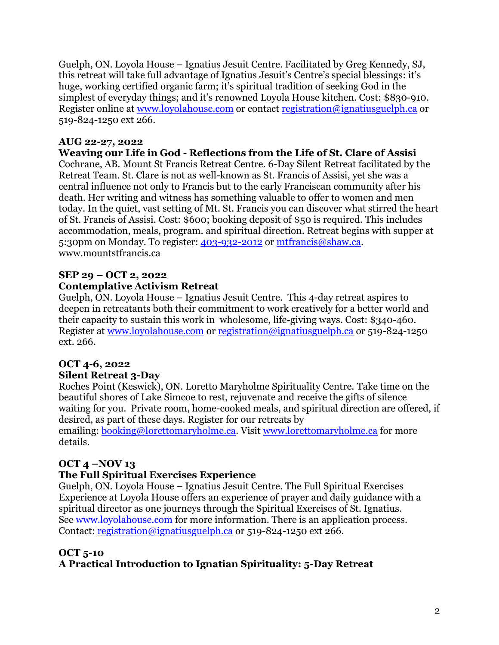Guelph, ON. Loyola House – Ignatius Jesuit Centre. Facilitated by Greg Kennedy, SJ, this retreat will take full advantage of Ignatius Jesuit's Centre's special blessings: it's huge, working certified organic farm; it's spiritual tradition of seeking God in the simplest of everyday things; and it's renowned Loyola House kitchen. Cost: \$830-910. Register online at [www.loyolahouse.com](http://www.loyolahouse.com/) or contact [registration@ignatiusguelph.ca](mailto:registration@ignatiusguelph.ca) or 519-824-1250 ext 266.

#### **AUG 22-27, 2022**

**Weaving our Life in God - Reflections from the Life of St. Clare of Assisi** Cochrane, AB. Mount St Francis Retreat Centre. 6-Day Silent Retreat facilitated by the Retreat Team. St. Clare is not as well-known as St. Francis of Assisi, yet she was a central influence not only to Francis but to the early Franciscan community after his death. Her writing and witness has something valuable to offer to women and men today. In the quiet, vast setting of Mt. St. Francis you can discover what stirred the heart of St. Francis of Assisi. Cost: \$600; booking deposit of \$50 is required. This includes accommodation, meals, program. and spiritual direction. Retreat begins with supper at 5:30pm on Monday. To register: [403-932-2012](tel:(403)%20932-2012) or [mtfrancis@shaw.ca.](mailto:mtfrancis@shaw.ca) www.mountstfrancis.ca

#### **SEP 29 – OCT 2, 2022 Contemplative Activism Retreat**

Guelph, ON. Loyola House – Ignatius Jesuit Centre. This 4-day retreat aspires to deepen in retreatants both their commitment to work creatively for a better world and their capacity to sustain this work in wholesome, life-giving ways. Cost: \$340-460. Register at [www.loyolahouse.com](http://www.loyolahouse.com/) or [registration@ignatiusguelph.ca](mailto:registration@ignatiusguelph.ca) or 519-824-1250 ext. 266.

#### **OCT 4-6, 2022 Silent Retreat 3-Day**

Roches Point (Keswick), ON. Loretto Maryholme Spirituality Centre. Take time on the beautiful shores of Lake Simcoe to rest, rejuvenate and receive the gifts of silence waiting for you. Private room, home-cooked meals, and spiritual direction are offered, if desired, as part of these days. Register for our retreats by emailing: **booking@lorettomaryholme.ca**. Visit [www.lorettomaryholme.ca](http://www.lorettomaryholme.ca/) for more details.

### **OCT 4 –NOV 13**

### **The Full Spiritual Exercises Experience**

Guelph, ON. Loyola House – Ignatius Jesuit Centre. The Full Spiritual Exercises Experience at Loyola House offers an experience of prayer and daily guidance with a spiritual director as one journeys through the Spiritual Exercises of St. Ignatius. See [www.loyolahouse.com](http://www.loyolahouse.com/) for more information. There is an application process. Contact: [registration@ignatiusguelph.ca](mailto:registration@ignatiusguelph.ca) or 519-824-1250 ext 266.

### **OCT 5-10**

### **A Practical Introduction to Ignatian Spirituality: 5-Day Retreat**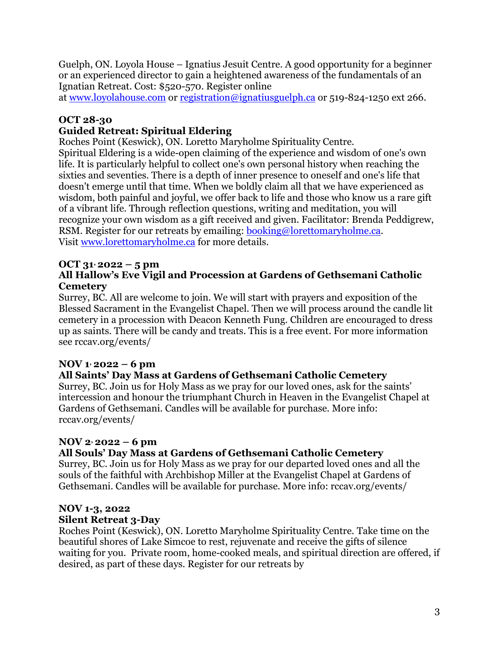Guelph, ON. Loyola House – Ignatius Jesuit Centre. A good opportunity for a beginner or an experienced director to gain a heightened awareness of the fundamentals of an Ignatian Retreat. Cost: \$520-570. Register online

at [www.loyolahouse.com](http://www.loyolahouse.com/) or [registration@ignatiusguelph.ca](mailto:registration@ignatiusguelph.ca) or 519-824-1250 ext 266.

### **OCT 28-30**

### **Guided Retreat: Spiritual Eldering**

Roches Point (Keswick), ON. Loretto Maryholme Spirituality Centre.

Spiritual Eldering is a wide-open claiming of the experience and wisdom of one's own life. It is particularly helpful to collect one's own personal history when reaching the sixties and seventies. There is a depth of inner presence to oneself and one's life that doesn't emerge until that time. When we boldly claim all that we have experienced as wisdom, both painful and joyful, we offer back to life and those who know us a rare gift of a vibrant life. Through reflection questions, writing and meditation, you will recognize your own wisdom as a gift received and given. Facilitator: Brenda Peddigrew, RSM. Register for our retreats by emailing: **[booking@lorettomaryholme.ca.](mailto:booking@lorettomaryholme.ca)** Visit [www.lorettomaryholme.ca](http://www.lorettomaryholme.ca/) for more details.

#### **OCT 31, 2022 – 5 pm All Hallow's Eve Vigil and Procession at Gardens of Gethsemani Catholic Cemetery**

Surrey, BC. All are welcome to join. We will start with prayers and exposition of the Blessed Sacrament in the Evangelist Chapel. Then we will process around the candle lit cemetery in a procession with Deacon Kenneth Fung. Children are encouraged to dress up as saints. There will be candy and treats. This is a free event. For more information see rccav.org/events/

### **NOV 1 , 2022 – 6 pm**

#### **All Saints' Day Mass at Gardens of Gethsemani Catholic Cemetery**

Surrey, BC. Join us for Holy Mass as we pray for our loved ones, ask for the saints' intercession and honour the triumphant Church in Heaven in the Evangelist Chapel at Gardens of Gethsemani. Candles will be available for purchase. More info: rccav.org/events/

### **NOV 2, 2022 – 6 pm**

### **All Souls' Day Mass at Gardens of Gethsemani Catholic Cemetery**

Surrey, BC. Join us for Holy Mass as we pray for our departed loved ones and all the souls of the faithful with Archbishop Miller at the Evangelist Chapel at Gardens of Gethsemani. Candles will be available for purchase. More info: rccav.org/events/

#### **NOV 1-3, 2022 Silent Retreat 3-Day**

Roches Point (Keswick), ON. Loretto Maryholme Spirituality Centre. Take time on the beautiful shores of Lake Simcoe to rest, rejuvenate and receive the gifts of silence waiting for you. Private room, home-cooked meals, and spiritual direction are offered, if desired, as part of these days. Register for our retreats by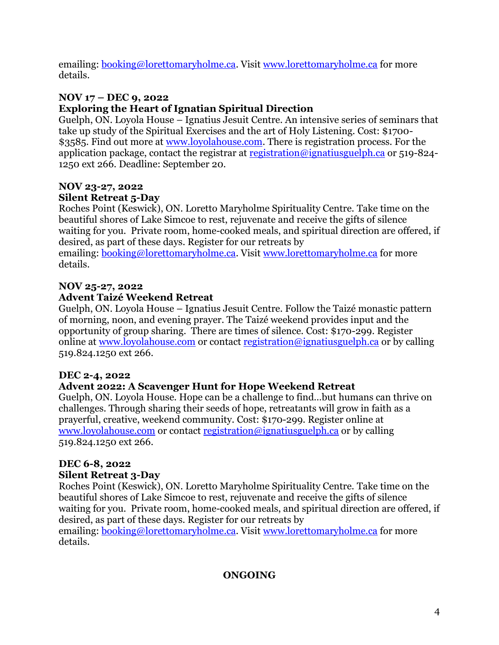emailing: [booking@lorettomaryholme.ca.](mailto:booking@lorettomaryholme.ca) Visit [www.lorettomaryholme.ca](http://www.lorettomaryholme.ca/) for more details.

# **NOV 17 – DEC 9, 2022**

### **Exploring the Heart of Ignatian Spiritual Direction**

Guelph, ON. Loyola House – Ignatius Jesuit Centre. An intensive series of seminars that take up study of the Spiritual Exercises and the art of Holy Listening. Cost: \$1700 \$3585. Find out more at [www.loyolahouse.com.](http://www.loyolahouse.com/) There is registration process. For the application package, contact the registrar at [registration@ignatiusguelph.ca](mailto:registration@ignatiusguelph.ca) or 519-824-1250 ext 266. Deadline: September 20.

### **NOV 23-27, 2022 Silent Retreat 5-Day**

Roches Point (Keswick), ON. Loretto Maryholme Spirituality Centre. Take time on the beautiful shores of Lake Simcoe to rest, rejuvenate and receive the gifts of silence waiting for you. Private room, home-cooked meals, and spiritual direction are offered, if desired, as part of these days. Register for our retreats by emailing: [booking@lorettomaryholme.ca.](mailto:booking@lorettomaryholme.ca) Visit [www.lorettomaryholme.ca](http://www.lorettomaryholme.ca/) for more details.

### **NOV 25-27, 2022**

### **Advent Taizé Weekend Retreat**

Guelph, ON. Loyola House – Ignatius Jesuit Centre. Follow the Taizé monastic pattern of morning, noon, and evening prayer. The Taizé weekend provides input and the opportunity of group sharing. There are times of silence. Cost: \$170-299. Register online at [www.loyolahouse.com](http://www.loyolahouse.com/) or contact [registration@ignatiusguelph.ca](mailto:registration@ignatiusguelph.ca) or by calling 519.824.1250 ext 266.

### **DEC 2-4, 2022**

### **Advent 2022: A Scavenger Hunt for Hope Weekend Retreat**

Guelph, ON. Loyola House. Hope can be a challenge to find…but humans can thrive on challenges. Through sharing their seeds of hope, retreatants will grow in faith as a prayerful, creative, weekend community. Cost: \$170-299. Register online at [www.loyolahouse.com](http://www.loyolahouse.com/) or contact [registration@ignatiusguelph.ca](mailto:registration@ignatiusguelph.ca) or by calling 519.824.1250 ext 266.

## **DEC 6-8, 2022**

### **Silent Retreat 3-Day**

Roches Point (Keswick), ON. Loretto Maryholme Spirituality Centre. Take time on the beautiful shores of Lake Simcoe to rest, rejuvenate and receive the gifts of silence waiting for you. Private room, home-cooked meals, and spiritual direction are offered, if desired, as part of these days. Register for our retreats by

emailing: [booking@lorettomaryholme.ca.](mailto:booking@lorettomaryholme.ca) Visit [www.lorettomaryholme.ca](http://www.lorettomaryholme.ca/) for more details.

### **ONGOING**